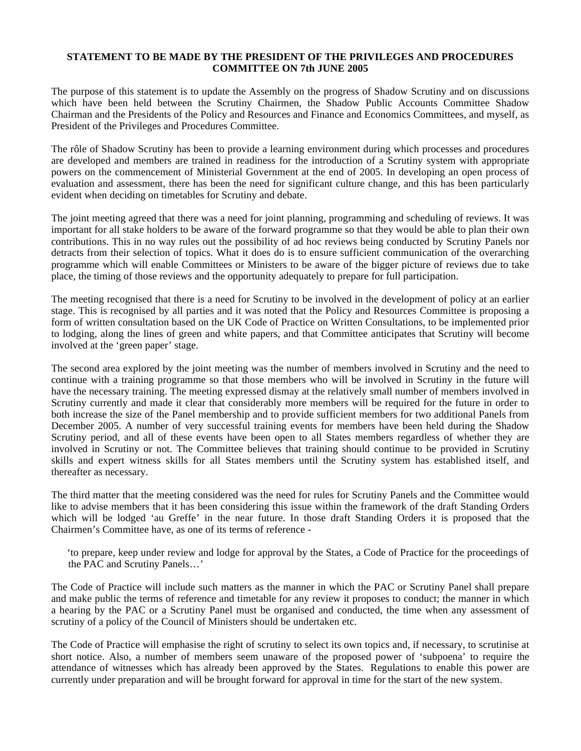## **STATEMENT TO BE MADE BY THE PRESIDENT OF THE PRIVILEGES AND PROCEDURES COMMITTEE ON 7th JUNE 2005**

The purpose of this statement is to update the Assembly on the progress of Shadow Scrutiny and on discussions which have been held between the Scrutiny Chairmen, the Shadow Public Accounts Committee Shadow Chairman and the Presidents of the Policy and Resources and Finance and Economics Committees, and myself, as President of the Privileges and Procedures Committee.

The rôle of Shadow Scrutiny has been to provide a learning environment during which processes and procedures are developed and members are trained in readiness for the introduction of a Scrutiny system with appropriate powers on the commencement of Ministerial Government at the end of 2005. In developing an open process of evaluation and assessment, there has been the need for significant culture change, and this has been particularly evident when deciding on timetables for Scrutiny and debate.

The joint meeting agreed that there was a need for joint planning, programming and scheduling of reviews. It was important for all stake holders to be aware of the forward programme so that they would be able to plan their own contributions. This in no way rules out the possibility of ad hoc reviews being conducted by Scrutiny Panels nor detracts from their selection of topics. What it does do is to ensure sufficient communication of the overarching programme which will enable Committees or Ministers to be aware of the bigger picture of reviews due to take place, the timing of those reviews and the opportunity adequately to prepare for full participation.

The meeting recognised that there is a need for Scrutiny to be involved in the development of policy at an earlier stage. This is recognised by all parties and it was noted that the Policy and Resources Committee is proposing a form of written consultation based on the UK Code of Practice on Written Consultations, to be implemented prior to lodging, along the lines of green and white papers, and that Committee anticipates that Scrutiny will become involved at the 'green paper' stage.

The second area explored by the joint meeting was the number of members involved in Scrutiny and the need to continue with a training programme so that those members who will be involved in Scrutiny in the future will have the necessary training. The meeting expressed dismay at the relatively small number of members involved in Scrutiny currently and made it clear that considerably more members will be required for the future in order to both increase the size of the Panel membership and to provide sufficient members for two additional Panels from December 2005. A number of very successful training events for members have been held during the Shadow Scrutiny period, and all of these events have been open to all States members regardless of whether they are involved in Scrutiny or not. The Committee believes that training should continue to be provided in Scrutiny skills and expert witness skills for all States members until the Scrutiny system has established itself, and thereafter as necessary.

The third matter that the meeting considered was the need for rules for Scrutiny Panels and the Committee would like to advise members that it has been considering this issue within the framework of the draft Standing Orders which will be lodged 'au Greffe' in the near future. In those draft Standing Orders it is proposed that the Chairmen's Committee have, as one of its terms of reference -

 'to prepare, keep under review and lodge for approval by the States, a Code of Practice for the proceedings of the PAC and Scrutiny Panels…'

The Code of Practice will include such matters as the manner in which the PAC or Scrutiny Panel shall prepare and make public the terms of reference and timetable for any review it proposes to conduct; the manner in which a hearing by the PAC or a Scrutiny Panel must be organised and conducted, the time when any assessment of scrutiny of a policy of the Council of Ministers should be undertaken etc.

The Code of Practice will emphasise the right of scrutiny to select its own topics and, if necessary, to scrutinise at short notice. Also, a number of members seem unaware of the proposed power of 'subpoena' to require the attendance of witnesses which has already been approved by the States. Regulations to enable this power are currently under preparation and will be brought forward for approval in time for the start of the new system.